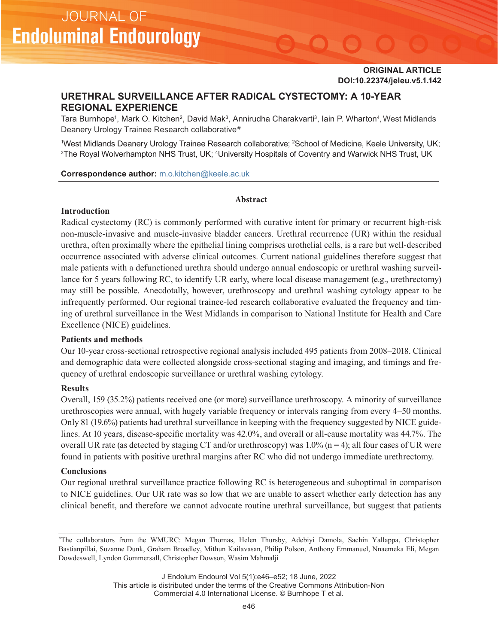# **URETHRAL SURVEILLANCE AFTER RADICAL CYSTECTOMY: A 10-YEAR REGIONAL EXPERIENCE**

Tara Burnhope<sup>1</sup>, Mark O. Kitchen<sup>2</sup>, David Mak<sup>3</sup>, Annirudha Charakvarti<sup>3</sup>, Iain P. Wharton<sup>4</sup>, West Midlands Deanery Urology Trainee Research collaborative*#*

<sup>1</sup>West Midlands Deanery Urology Trainee Research collaborative; 2School of Medicine, Keele University, UK; <sup>3</sup>The Royal Wolverhampton NHS Trust, UK; <sup>4</sup>University Hospitals of Coventry and Warwick NHS Trust, UK

### **Correspondence author:** m.o.kitchen@keele.ac.uk

#### **Abstract**

## **Introduction**

**JOURNAL OF** 

**Endoluminal Endourology** 

Radical cystectomy (RC) is commonly performed with curative intent for primary or recurrent high-risk non-muscle-invasive and muscle-invasive bladder cancers. Urethral recurrence (UR) within the residual urethra, often proximally where the epithelial lining comprises urothelial cells, is a rare but well-described occurrence associated with adverse clinical outcomes. Current national guidelines therefore suggest that male patients with a defunctioned urethra should undergo annual endoscopic or urethral washing surveillance for 5 years following RC, to identify UR early, where local disease management (e.g., urethrectomy) may still be possible. Anecdotally, however, urethroscopy and urethral washing cytology appear to be infrequently performed. Our regional trainee-led research collaborative evaluated the frequency and timing of urethral surveillance in the West Midlands in comparison to National Institute for Health and Care Excellence (NICE) guidelines.

## **Patients and methods**

Our 10-year cross-sectional retrospective regional analysis included 495 patients from 2008–2018. Clinical and demographic data were collected alongside cross-sectional staging and imaging, and timings and frequency of urethral endoscopic surveillance or urethral washing cytology.

## **Results**

Overall, 159 (35.2%) patients received one (or more) surveillance urethroscopy. A minority of surveillance urethroscopies were annual, with hugely variable frequency or intervals ranging from every 4–50 months. Only 81 (19.6%) patients had urethral surveillance in keeping with the frequency suggested by NICE guidelines. At 10 years, disease-specific mortality was 42.0%, and overall or all-cause mortality was 44.7%. The overall UR rate (as detected by staging CT and/or urethroscopy) was  $1.0\%$  (n = 4); all four cases of UR were found in patients with positive urethral margins after RC who did not undergo immediate urethrectomy.

## **Conclusions**

Our regional urethral surveillance practice following RC is heterogeneous and suboptimal in comparison to NICE guidelines. Our UR rate was so low that we are unable to assert whether early detection has any clinical benefit, and therefore we cannot advocate routine urethral surveillance, but suggest that patients

#The collaborators from the WMURC: Megan Thomas, Helen Thursby, Adebiyi Damola, Sachin Yallappa, Christopher Bastianpillai, Suzanne Dunk, Graham Broadley, Mithun Kailavasan, Philip Polson, Anthony Emmanuel, Nnaemeka Eli, Megan Dowdeswell, Lyndon Gommersall, Christopher Dowson, Wasim Mahmalji

> J Endolum Endourol Vol 5(1):e46–e52; 18 June, 2022 This article is distributed under the terms of the Creative Commons Attribution-Non Commercial 4.0 International License. © Burnhope T et al.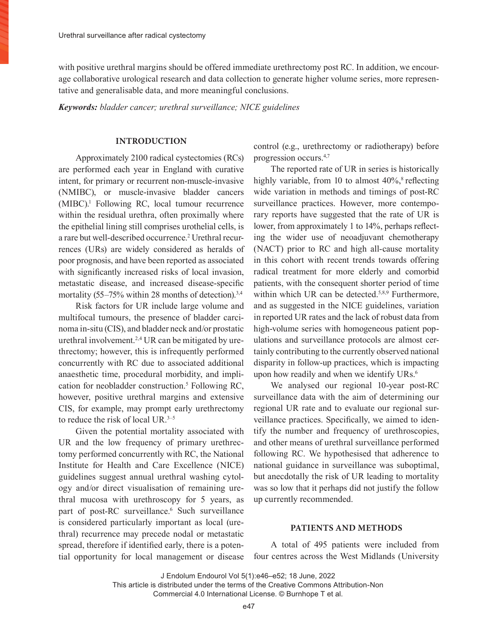with positive urethral margins should be offered immediate urethrectomy post RC. In addition, we encourage collaborative urological research and data collection to generate higher volume series, more representative and generalisable data, and more meaningful conclusions.

*Keywords: bladder cancer; urethral surveillance; NICE guidelines*

### **INTRODUCTION**

Approximately 2100 radical cystectomies (RCs) are performed each year in England with curative intent, for primary or recurrent non-muscle-invasive (NMIBC), or muscle-invasive bladder cancers (MIBC).1 Following RC, local tumour recurrence within the residual urethra, often proximally where the epithelial lining still comprises urothelial cells, is a rare but well-described occurrence.<sup>2</sup> Urethral recurrences (URs) are widely considered as heralds of poor prognosis, and have been reported as associated with significantly increased risks of local invasion, metastatic disease, and increased disease-specific mortality  $(55-75\%$  within 28 months of detection).<sup>3,4</sup>

Risk factors for UR include large volume and multifocal tumours, the presence of bladder carcinoma in-situ (CIS), and bladder neck and/or prostatic urethral involvement.2,4 UR can be mitigated by urethrectomy; however, this is infrequently performed concurrently with RC due to associated additional anaesthetic time, procedural morbidity, and implication for neobladder construction.<sup>5</sup> Following RC, however, positive urethral margins and extensive CIS, for example, may prompt early urethrectomy to reduce the risk of local UR.<sup>3–5</sup>

Given the potential mortality associated with UR and the low frequency of primary urethrectomy performed concurrently with RC, the National Institute for Health and Care Excellence (NICE) guidelines suggest annual urethral washing cytology and/or direct visualisation of remaining urethral mucosa with urethroscopy for 5 years, as part of post-RC surveillance.<sup>6</sup> Such surveillance is considered particularly important as local (urethral) recurrence may precede nodal or metastatic spread, therefore if identified early, there is a potential opportunity for local management or disease

control (e.g., urethrectomy or radiotherapy) before progression occurs.4,7

The reported rate of UR in series is historically highly variable, from 10 to almost  $40\%$ ,<sup>8</sup> reflecting wide variation in methods and timings of post-RC surveillance practices. However, more contemporary reports have suggested that the rate of UR is lower, from approximately 1 to 14%, perhaps reflecting the wider use of neoadjuvant chemotherapy (NACT) prior to RC and high all-cause mortality in this cohort with recent trends towards offering radical treatment for more elderly and comorbid patients, with the consequent shorter period of time within which UR can be detected.<sup>5,8,9</sup> Furthermore, and as suggested in the NICE guidelines, variation in reported UR rates and the lack of robust data from high-volume series with homogeneous patient populations and surveillance protocols are almost certainly contributing to the currently observed national disparity in follow-up practices, which is impacting upon how readily and when we identify URs.<sup>6</sup>

We analysed our regional 10-year post-RC surveillance data with the aim of determining our regional UR rate and to evaluate our regional surveillance practices. Specifically, we aimed to identify the number and frequency of urethroscopies, and other means of urethral surveillance performed following RC. We hypothesised that adherence to national guidance in surveillance was suboptimal, but anecdotally the risk of UR leading to mortality was so low that it perhaps did not justify the follow up currently recommended.

## **PATIENTS AND METHODS**

A total of 495 patients were included from four centres across the West Midlands (University

J Endolum Endourol Vol 5(1):e46–e52; 18 June, 2022

This article is distributed under the terms of the Creative Commons Attribution-Non Commercial 4.0 International License. © Burnhope T et al.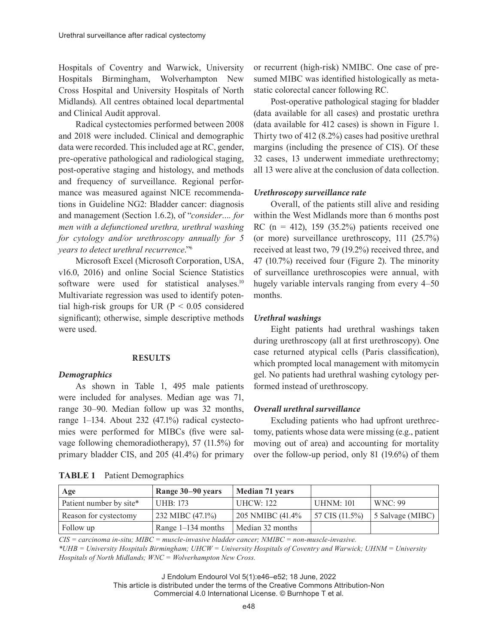Hospitals of Coventry and Warwick, University Hospitals Birmingham, Wolverhampton New Cross Hospital and University Hospitals of North Midlands). All centres obtained local departmental and Clinical Audit approval.

Radical cystectomies performed between 2008 and 2018 were included. Clinical and demographic data were recorded. This included age at RC, gender, pre-operative pathological and radiological staging, post-operative staging and histology, and methods and frequency of surveillance. Regional performance was measured against NICE recommendations in Guideline NG2: Bladder cancer: diagnosis and management (Section 1.6.2), of "*consider…. for men with a defunctioned urethra, urethral washing for cytology and/or urethroscopy annually for 5 years to detect urethral recurrence*."6

Microsoft Excel (Microsoft Corporation, USA, v16.0, 2016) and online Social Science Statistics software were used for statistical analyses.<sup>10</sup> Multivariate regression was used to identify potential high-risk groups for UR ( $P < 0.05$  considered significant); otherwise, simple descriptive methods were used.

## **RESULTS**

#### *Demographics*

As shown in Table 1, 495 male patients were included for analyses. Median age was 71, range 30–90. Median follow up was 32 months, range 1–134. About 232 (47.1%) radical cystectomies were performed for MIBCs (five were salvage following chemoradiotherapy), 57 (11.5%) for primary bladder CIS, and 205 (41.4%) for primary

| Age                     | Range 30–90 years      | <b>Median 71 years</b> |                            |                  |
|-------------------------|------------------------|------------------------|----------------------------|------------------|
| Patient number by site* | UHB: 173               | UHCW: $122$            | <b>UHNM: 101</b>           | WNC:99           |
| Reason for cystectomy   | $1232$ MIBC $(47.1\%)$ | 205 NMIBC (41.4%       | $57 \text{ CIS } (11.5\%)$ | 5 Salvage (MIBC) |
| Follow up               | Range $1-134$ months   | Median 32 months       |                            |                  |

| TABLE 1 | <b>Patient Demographics</b> |
|---------|-----------------------------|
|---------|-----------------------------|

or recurrent (high-risk) NMIBC. One case of presumed MIBC was identified histologically as metastatic colorectal cancer following RC.

Post-operative pathological staging for bladder (data available for all cases) and prostatic urethra (data available for 412 cases) is shown in Figure 1. Thirty two of 412 (8.2%) cases had positive urethral margins (including the presence of CIS). Of these 32 cases, 13 underwent immediate urethrectomy; all 13 were alive at the conclusion of data collection.

## *Urethroscopy surveillance rate*

Overall, of the patients still alive and residing within the West Midlands more than 6 months post RC ( $n = 412$ ), 159 (35.2%) patients received one (or more) surveillance urethroscopy, 111 (25.7%) received at least two, 79 (19.2%) received three, and 47 (10.7%) received four (Figure 2). The minority of surveillance urethroscopies were annual, with hugely variable intervals ranging from every 4–50 months.

### *Urethral washings*

Eight patients had urethral washings taken during urethroscopy (all at first urethroscopy). One case returned atypical cells (Paris classification), which prompted local management with mitomycin gel. No patients had urethral washing cytology performed instead of urethroscopy.

## *Overall urethral surveillance*

Excluding patients who had upfront urethrectomy, patients whose data were missing (e.g., patient moving out of area) and accounting for mortality over the follow-up period, only 81 (19.6%) of them

*CIS = carcinoma in-situ; MIBC = muscle-invasive bladder cancer; NMIBC = non-muscle-invasive. \*UHB = University Hospitals Birmingham; UHCW = University Hospitals of Coventry and Warwick; UHNM = University Hospitals of North Midlands; WNC = Wolverhampton New Cross.*

J Endolum Endourol Vol 5(1):e46–e52; 18 June, 2022

This article is distributed under the terms of the Creative Commons Attribution-Non Commercial 4.0 International License. © Burnhope T et al.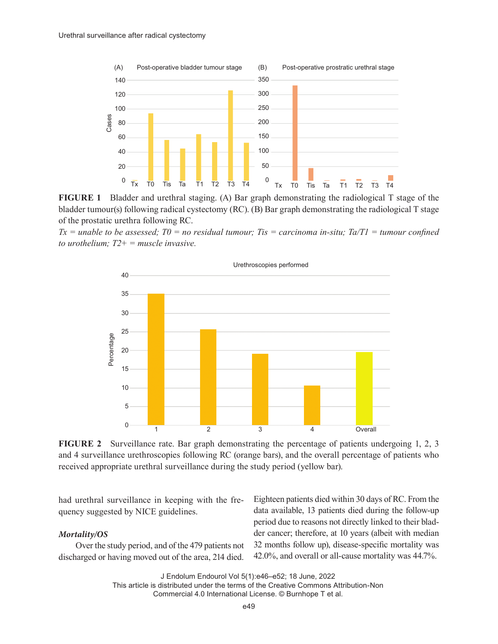

**FIGURE 1** Bladder and urethral staging. (A) Bar graph demonstrating the radiological T stage of the bladder tumour(s) following radical cystectomy (RC). (B) Bar graph demonstrating the radiological T stage of the prostatic urethra following RC.

 $Tx =$  unable to be assessed;  $T0 =$  no residual tumour; Tis = carcinoma in-situ;  $Ta/T1 =$  tumour confined *to urothelium; T2+ = muscle invasive.*



**FIGURE 2** Surveillance rate. Bar graph demonstrating the percentage of patients undergoing 1, 2, 3 and 4 surveillance urethroscopies following RC (orange bars), and the overall percentage of patients who received appropriate urethral surveillance during the study period (yellow bar).

had urethral surveillance in keeping with the frequency suggested by NICE guidelines.

## *Mortality/OS*

Over the study period, and of the 479 patients not discharged or having moved out of the area, 214 died.

Eighteen patients died within 30 days of RC. From the data available, 13 patients died during the follow-up period due to reasons not directly linked to their bladder cancer; therefore, at 10 years (albeit with median 32 months follow up), disease-specific mortality was 42.0%, and overall or all-cause mortality was 44.7%.

J Endolum Endourol Vol 5(1):e46–e52; 18 June, 2022

This article is distributed under the terms of the Creative Commons Attribution-Non Commercial 4.0 International License. © Burnhope T et al.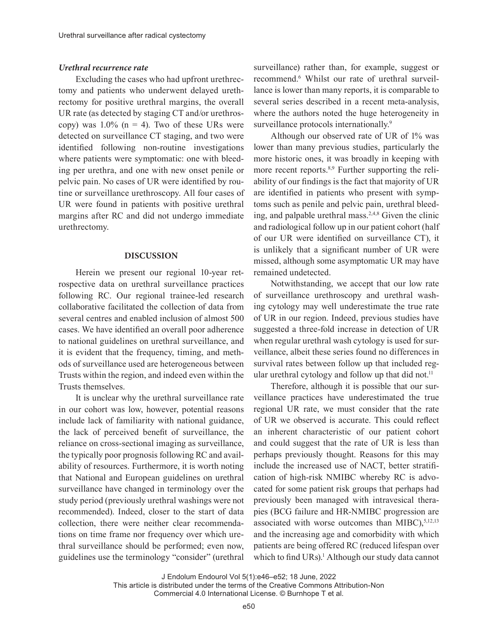#### *Urethral recurrence rate*

Excluding the cases who had upfront urethrectomy and patients who underwent delayed urethrectomy for positive urethral margins, the overall UR rate (as detected by staging CT and/or urethroscopy) was  $1.0\%$  (n = 4). Two of these URs were detected on surveillance CT staging, and two were identified following non-routine investigations where patients were symptomatic: one with bleeding per urethra, and one with new onset penile or pelvic pain. No cases of UR were identified by routine or surveillance urethroscopy. All four cases of UR were found in patients with positive urethral margins after RC and did not undergo immediate urethrectomy.

#### **DISCUSSION**

Herein we present our regional 10-year retrospective data on urethral surveillance practices following RC. Our regional trainee-led research collaborative facilitated the collection of data from several centres and enabled inclusion of almost 500 cases. We have identified an overall poor adherence to national guidelines on urethral surveillance, and it is evident that the frequency, timing, and methods of surveillance used are heterogeneous between Trusts within the region, and indeed even within the Trusts themselves.

It is unclear why the urethral surveillance rate in our cohort was low, however, potential reasons include lack of familiarity with national guidance, the lack of perceived benefit of surveillance, the reliance on cross-sectional imaging as surveillance, the typically poor prognosis following RC and availability of resources. Furthermore, it is worth noting that National and European guidelines on urethral surveillance have changed in terminology over the study period (previously urethral washings were not recommended). Indeed, closer to the start of data collection, there were neither clear recommendations on time frame nor frequency over which urethral surveillance should be performed; even now, guidelines use the terminology "consider" (urethral

surveillance) rather than, for example, suggest or recommend.6 Whilst our rate of urethral surveillance is lower than many reports, it is comparable to several series described in a recent meta-analysis, where the authors noted the huge heterogeneity in surveillance protocols internationally.<sup>9</sup>

Although our observed rate of UR of 1% was lower than many previous studies, particularly the more historic ones, it was broadly in keeping with more recent reports.<sup>8,9</sup> Further supporting the reliability of our findings is the fact that majority of UR are identified in patients who present with symptoms such as penile and pelvic pain, urethral bleeding, and palpable urethral mass.<sup>2,4,8</sup> Given the clinic and radiological follow up in our patient cohort (half of our UR were identified on surveillance CT), it is unlikely that a significant number of UR were missed, although some asymptomatic UR may have remained undetected.

Notwithstanding, we accept that our low rate of surveillance urethroscopy and urethral washing cytology may well underestimate the true rate of UR in our region. Indeed, previous studies have suggested a three-fold increase in detection of UR when regular urethral wash cytology is used for surveillance, albeit these series found no differences in survival rates between follow up that included regular urethral cytology and follow up that did not.<sup>11</sup>

Therefore, although it is possible that our surveillance practices have underestimated the true regional UR rate, we must consider that the rate of UR we observed is accurate. This could reflect an inherent characteristic of our patient cohort and could suggest that the rate of UR is less than perhaps previously thought. Reasons for this may include the increased use of NACT, better stratification of high-risk NMIBC whereby RC is advocated for some patient risk groups that perhaps had previously been managed with intravesical therapies (BCG failure and HR-NMIBC progression are associated with worse outcomes than MIBC), $5,12,13$ and the increasing age and comorbidity with which patients are being offered RC (reduced lifespan over which to find URs).<sup>1</sup> Although our study data cannot

J Endolum Endourol Vol 5(1):e46–e52; 18 June, 2022

This article is distributed under the terms of the Creative Commons Attribution-Non Commercial 4.0 International License. © Burnhope T et al.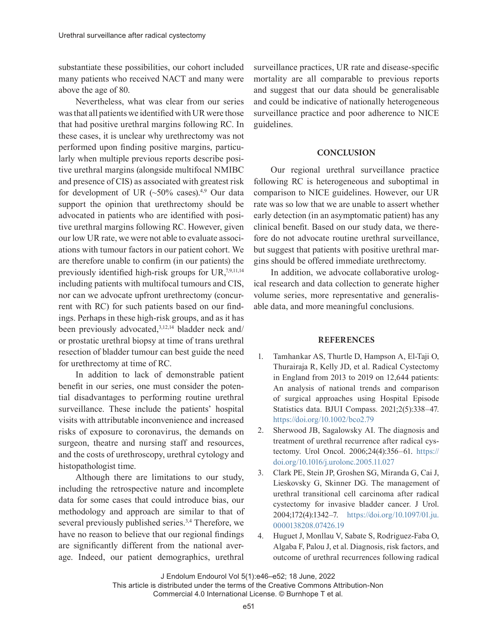substantiate these possibilities, our cohort included many patients who received NACT and many were above the age of 80.

Nevertheless, what was clear from our series was that all patients we identified with UR were those that had positive urethral margins following RC. In these cases, it is unclear why urethrectomy was not performed upon finding positive margins, particularly when multiple previous reports describe positive urethral margins (alongside multifocal NMIBC and presence of CIS) as associated with greatest risk for development of UR  $(-50\% \text{ cases})$ .<sup>4,9</sup> Our data support the opinion that urethrectomy should be advocated in patients who are identified with positive urethral margins following RC. However, given our low UR rate, we were not able to evaluate associations with tumour factors in our patient cohort. We are therefore unable to confirm (in our patients) the previously identified high-risk groups for UR, $7,9,11,14$ including patients with multifocal tumours and CIS, nor can we advocate upfront urethrectomy (concurrent with RC) for such patients based on our findings. Perhaps in these high-risk groups, and as it has been previously advocated,<sup>3,12,14</sup> bladder neck and/ or prostatic urethral biopsy at time of trans urethral resection of bladder tumour can best guide the need for urethrectomy at time of RC.

In addition to lack of demonstrable patient benefit in our series, one must consider the potential disadvantages to performing routine urethral surveillance. These include the patients' hospital visits with attributable inconvenience and increased risks of exposure to coronavirus, the demands on surgeon, theatre and nursing staff and resources, and the costs of urethroscopy, urethral cytology and histopathologist time.

Although there are limitations to our study, including the retrospective nature and incomplete data for some cases that could introduce bias, our methodology and approach are similar to that of several previously published series.<sup>3,4</sup> Therefore, we have no reason to believe that our regional findings are significantly different from the national average. Indeed, our patient demographics, urethral

surveillance practices, UR rate and disease-specific mortality are all comparable to previous reports and suggest that our data should be generalisable and could be indicative of nationally heterogeneous surveillance practice and poor adherence to NICE guidelines.

## **CONCLUSION**

Our regional urethral surveillance practice following RC is heterogeneous and suboptimal in comparison to NICE guidelines. However, our UR rate was so low that we are unable to assert whether early detection (in an asymptomatic patient) has any clinical benefit. Based on our study data, we therefore do not advocate routine urethral surveillance, but suggest that patients with positive urethral margins should be offered immediate urethrectomy.

In addition, we advocate collaborative urological research and data collection to generate higher volume series, more representative and generalisable data, and more meaningful conclusions.

## **REFERENCES**

- 1. Tamhankar AS, Thurtle D, Hampson A, El-Taji O, Thurairaja R, Kelly JD, et al. Radical Cystectomy in England from 2013 to 2019 on 12,644 patients: An analysis of national trends and comparison of surgical approaches using Hospital Episode Statistics data. BJUI Compass. 2021;2(5):338–47. https://doi.org/10.1002/bco2.79
- 2. Sherwood JB, Sagalowsky AI. The diagnosis and treatment of urethral recurrence after radical cystectomy. Urol Oncol. 2006;24(4):356–61. https:// doi.org/10.1016/j.urolonc.2005.11.027
- 3. Clark PE, Stein JP, Groshen SG, Miranda G, Cai J, Lieskovsky G, Skinner DG. The management of urethral transitional cell carcinoma after radical cystectomy for invasive bladder cancer. J Urol. 2004;172(4):1342–7. https://doi.org/10.1097/01.ju. 0000138208.07426.19
- 4. Huguet J, Monllau V, Sabate S, Rodriguez-Faba O, Algaba F, Palou J, et al. Diagnosis, risk factors, and outcome of urethral recurrences following radical

J Endolum Endourol Vol 5(1):e46–e52; 18 June, 2022

This article is distributed under the terms of the Creative Commons Attribution-Non Commercial 4.0 International License. © Burnhope T et al.